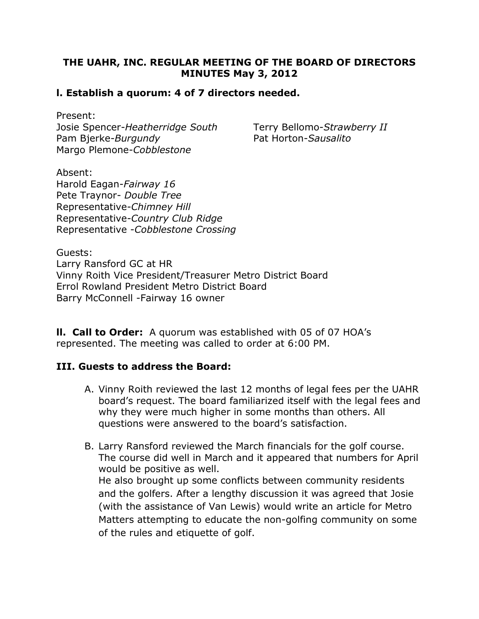## THE UAHR, INC. REGULAR MEETING OF THE BOARD OF DIRECTORS MINUTES May 3, 2012

#### l. Establish a quorum: 4 of 7 directors needed.

Present: Josie Spencer-Heatherridge South Terry Bellomo-Strawberry II Pam Bjerke-Burgundy Pat Horton-Sausalito Margo Plemone-Cobblestone

Absent: Harold Eagan-Fairway 16 Pete Traynor- Double Tree Representative-Chimney Hill Representative-Country Club Ridge Representative -Cobblestone Crossing

Guests: Larry Ransford GC at HR Vinny Roith Vice President/Treasurer Metro District Board Errol Rowland President Metro District Board Barry McConnell -Fairway 16 owner

**II. Call to Order:** A quorum was established with 05 of 07 HOA's represented. The meeting was called to order at 6:00 PM.

#### III. Guests to address the Board:

- A. Vinny Roith reviewed the last 12 months of legal fees per the UAHR board's request. The board familiarized itself with the legal fees and why they were much higher in some months than others. All questions were answered to the board's satisfaction.
- B. Larry Ransford reviewed the March financials for the golf course. The course did well in March and it appeared that numbers for April would be positive as well. He also brought up some conflicts between community residents and the golfers. After a lengthy discussion it was agreed that Josie

(with the assistance of Van Lewis) would write an article for Metro Matters attempting to educate the non-golfing community on some of the rules and etiquette of golf.